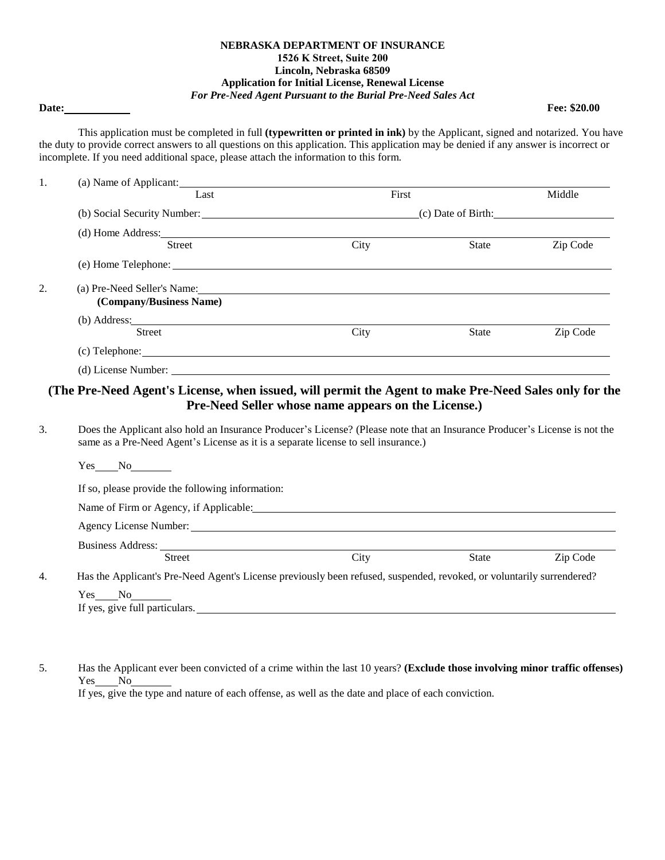## **NEBRASKA DEPARTMENT OF INSURANCE 1526 K Street, Suite 200 Lincoln, Nebraska 68509 Application for Initial License, Renewal License** *For Pre-Need Agent Pursuant to the Burial Pre-Need Sales Act*

**Date: Fee: \$20.00**

This application must be completed in full **(typewritten or printed in ink)** by the Applicant, signed and notarized. You have the duty to provide correct answers to all questions on this application. This application may be denied if any answer is incorrect or incomplete. If you need additional space, please attach the information to this form.

| 1. | (a) Name of Applicant:                                                                                                                                                                                                                                    |                                                                            |              |          |  |
|----|-----------------------------------------------------------------------------------------------------------------------------------------------------------------------------------------------------------------------------------------------------------|----------------------------------------------------------------------------|--------------|----------|--|
|    | Last                                                                                                                                                                                                                                                      | First                                                                      |              | Middle   |  |
|    |                                                                                                                                                                                                                                                           | (b) Social Security Number: (b) Social Security Number: (c) Date of Birth: |              |          |  |
|    | (d) Home Address: 2008. The Address of the Address of the Address of the Address of the Address of the Address of the Address of the Address of the Address of the Address of the Address of the Address of the Address of the                            |                                                                            |              |          |  |
|    | <b>Street</b>                                                                                                                                                                                                                                             | City                                                                       | State        | Zip Code |  |
|    |                                                                                                                                                                                                                                                           |                                                                            |              |          |  |
| 2. | (a) Pre-Need Seller's Name: the contract of the contract of the contract of the contract of the contract of the contract of the contract of the contract of the contract of the contract of the contract of the contract of th<br>(Company/Business Name) |                                                                            |              |          |  |
|    |                                                                                                                                                                                                                                                           |                                                                            |              |          |  |
|    | <b>Street</b>                                                                                                                                                                                                                                             | City                                                                       | <b>State</b> | Zip Code |  |
|    |                                                                                                                                                                                                                                                           |                                                                            |              |          |  |
|    |                                                                                                                                                                                                                                                           |                                                                            |              |          |  |
|    | (The Pre-Need Agent's License, when issued, will permit the Agent to make Pre-Need Sales only for the                                                                                                                                                     | Pre-Need Seller whose name appears on the License.)                        |              |          |  |
| 3. | Does the Applicant also hold an Insurance Producer's License? (Please note that an Insurance Producer's License is not the<br>same as a Pre-Need Agent's License as it is a separate license to sell insurance.)                                          |                                                                            |              |          |  |
|    | Yes<br>$\rm No$                                                                                                                                                                                                                                           |                                                                            |              |          |  |

If so, please provide the following information:

Name of Firm or Agency, if Applicable:

Agency License Number:

Business Address: Street City City State Zip Code

4. Has the Applicant's Pre-Need Agent's License previously been refused, suspended, revoked, or voluntarily surrendered? Yes No

| ---<br>.<br>___                                                                                  |
|--------------------------------------------------------------------------------------------------|
| $\mathbf{r}$<br>ves, give<br>nartic.<br>'''<br>.<br><br>the contract of the contract of the con- |
|                                                                                                  |

5. Has the Applicant ever been convicted of a crime within the last 10 years? **(Exclude those involving minor traffic offenses)** Yes No

If yes, give the type and nature of each offense, as well as the date and place of each conviction.